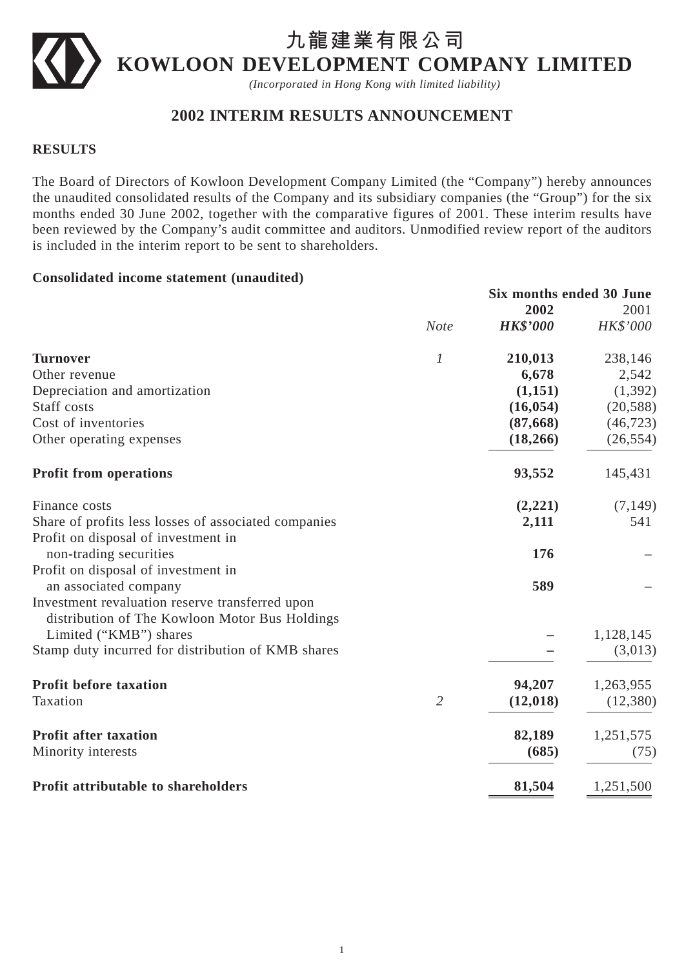# **九龍建業有限公司 KOWLOON DEVELOPMENT COMPANY LIMITED**

*(Incorporated in Hong Kong with limited liability)*

# **2002 INTERIM RESULTS ANNOUNCEMENT**

## **RESULTS**

The Board of Directors of Kowloon Development Company Limited (the "Company") hereby announces the unaudited consolidated results of the Company and its subsidiary companies (the "Group") for the six months ended 30 June 2002, together with the comparative figures of 2001. These interim results have been reviewed by the Company's audit committee and auditors. Unmodified review report of the auditors is included in the interim report to be sent to shareholders.

#### **Consolidated income statement (unaudited)**

|                                                                                                   | Six months ended 30 June |           |
|---------------------------------------------------------------------------------------------------|--------------------------|-----------|
|                                                                                                   | 2002                     | 2001      |
| <b>Note</b>                                                                                       | <b>HK\$'000</b>          | HK\$'000  |
| 1<br><b>Turnover</b>                                                                              | 210,013                  | 238,146   |
| Other revenue                                                                                     | 6,678                    | 2,542     |
| Depreciation and amortization                                                                     | (1,151)                  | (1, 392)  |
| Staff costs                                                                                       | (16, 054)                | (20, 588) |
| Cost of inventories                                                                               | (87, 668)                | (46, 723) |
| Other operating expenses                                                                          | (18,266)                 | (26, 554) |
| <b>Profit from operations</b>                                                                     | 93,552                   | 145,431   |
| Finance costs                                                                                     | (2,221)                  | (7, 149)  |
| Share of profits less losses of associated companies                                              | 2,111                    | 541       |
| Profit on disposal of investment in                                                               |                          |           |
| non-trading securities                                                                            | 176                      |           |
| Profit on disposal of investment in                                                               |                          |           |
| an associated company                                                                             | 589                      |           |
| Investment revaluation reserve transferred upon<br>distribution of The Kowloon Motor Bus Holdings |                          |           |
| Limited ("KMB") shares                                                                            |                          | 1,128,145 |
| Stamp duty incurred for distribution of KMB shares                                                |                          | (3,013)   |
| <b>Profit before taxation</b>                                                                     | 94,207                   | 1,263,955 |
| $\overline{2}$<br>Taxation                                                                        | (12, 018)                | (12,380)  |
| <b>Profit after taxation</b>                                                                      | 82,189                   | 1,251,575 |
| Minority interests                                                                                | (685)                    | (75)      |
| Profit attributable to shareholders                                                               | 81,504                   | 1,251,500 |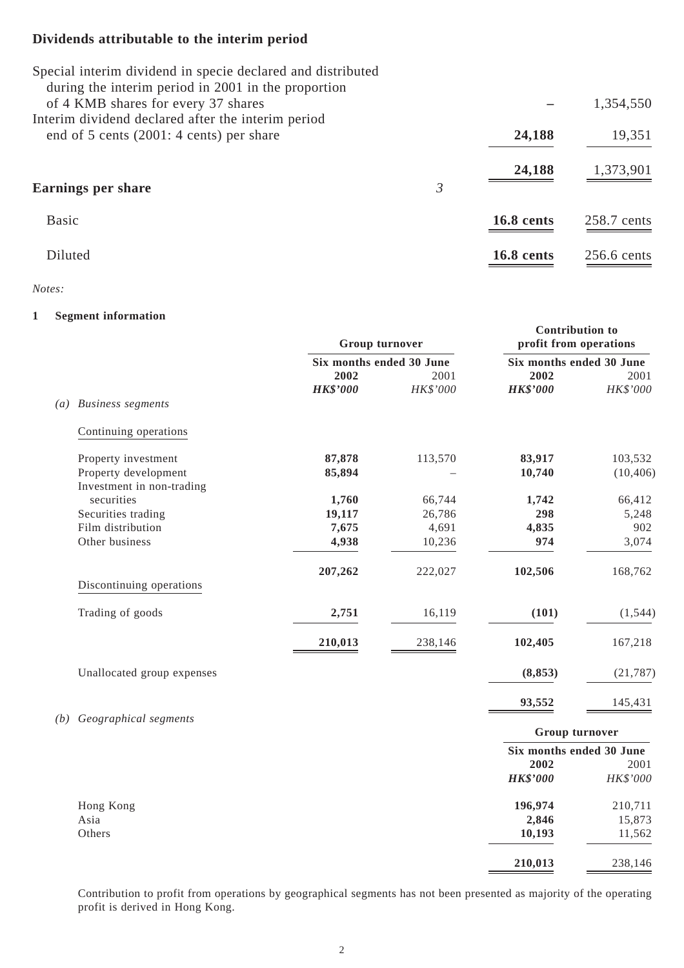# **Dividends attributable to the interim period**

| Special interim dividend in specie declared and distributed<br>during the interim period in 2001 in the proportion |   |                   |               |
|--------------------------------------------------------------------------------------------------------------------|---|-------------------|---------------|
| of 4 KMB shares for every 37 shares                                                                                |   |                   | 1,354,550     |
| Interim dividend declared after the interim period                                                                 |   |                   |               |
| end of 5 cents (2001: 4 cents) per share                                                                           |   | 24,188            | 19,351        |
|                                                                                                                    |   | 24,188            | 1,373,901     |
| Earnings per share                                                                                                 | 3 |                   |               |
| <b>Basic</b>                                                                                                       |   | <b>16.8 cents</b> | 258.7 cents   |
| <b>Diluted</b>                                                                                                     |   | 16.8 cents        | $256.6$ cents |

#### *Notes:*

#### **1 Segment information**

|                   |                            | Group turnover           |            | <b>Contribution to</b><br>profit from operations |           |
|-------------------|----------------------------|--------------------------|------------|--------------------------------------------------|-----------|
|                   |                            | Six months ended 30 June |            | Six months ended 30 June                         |           |
|                   |                            | 2002                     | 2001       | 2002                                             | 2001      |
|                   |                            | <b>HK\$'000</b>          | $HK\$ '000 | <b>HK\$'000</b>                                  | HK\$'000  |
| $\left( a\right)$ | <b>Business segments</b>   |                          |            |                                                  |           |
|                   | Continuing operations      |                          |            |                                                  |           |
|                   | Property investment        | 87,878                   | 113,570    | 83,917                                           | 103,532   |
|                   | Property development       | 85,894                   |            | 10,740                                           | (10, 406) |
|                   | Investment in non-trading  |                          |            |                                                  |           |
|                   | securities                 | 1,760                    | 66,744     | 1,742                                            | 66,412    |
|                   | Securities trading         | 19,117                   | 26,786     | 298                                              | 5,248     |
|                   | Film distribution          | 7,675                    | 4,691      | 4,835                                            | 902       |
|                   | Other business             | 4,938                    | 10,236     | 974                                              | 3,074     |
|                   | Discontinuing operations   | 207,262                  | 222,027    | 102,506                                          | 168,762   |
|                   |                            |                          |            |                                                  |           |
|                   | Trading of goods           | 2,751                    | 16,119     | (101)                                            | (1, 544)  |
|                   |                            | 210,013                  | 238,146    | 102,405                                          | 167,218   |
|                   | Unallocated group expenses |                          |            | (8, 853)                                         | (21, 787) |
|                   |                            |                          |            | 93,552                                           | 145,431   |
| (b)               | Geographical segments      |                          |            | Group turnover                                   |           |
|                   |                            |                          |            | Six months ended 30 June                         |           |
|                   |                            |                          |            | 2002                                             | 2001      |
|                   |                            |                          |            | <b>HK\$'000</b>                                  | HK\$'000  |
|                   | Hong Kong                  |                          |            | 196,974                                          | 210,711   |
|                   | Asia                       |                          |            | 2,846                                            | 15,873    |
|                   | Others                     |                          |            | 10,193                                           | 11,562    |
|                   |                            |                          |            | 210,013                                          | 238,146   |

Contribution to profit from operations by geographical segments has not been presented as majority of the operating profit is derived in Hong Kong.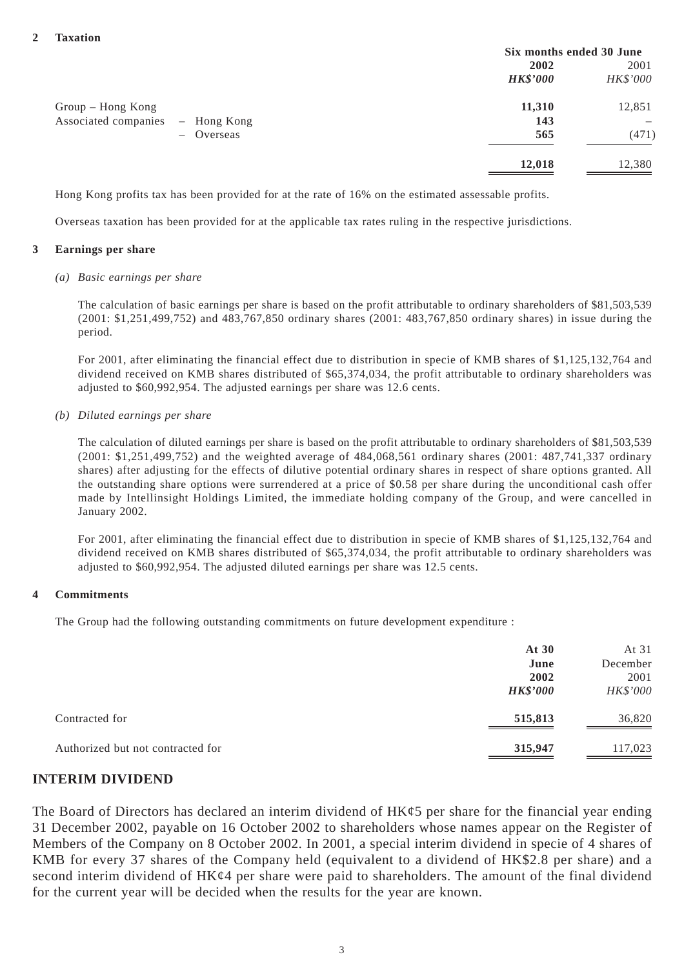|                      |             | Six months ended 30 June |          |
|----------------------|-------------|--------------------------|----------|
|                      |             | 2002                     | 2001     |
|                      |             | <b>HK\$'000</b>          | HK\$'000 |
| Group - Hong Kong    |             | 11,310                   | 12,851   |
| Associated companies | - Hong Kong | 143                      |          |
| $-$ Overseas         |             | 565                      | (471)    |
|                      |             | 12,018                   | 12,380   |

Hong Kong profits tax has been provided for at the rate of 16% on the estimated assessable profits.

Overseas taxation has been provided for at the applicable tax rates ruling in the respective jurisdictions.

#### **3 Earnings per share**

#### *(a) Basic earnings per share*

The calculation of basic earnings per share is based on the profit attributable to ordinary shareholders of \$81,503,539 (2001: \$1,251,499,752) and 483,767,850 ordinary shares (2001: 483,767,850 ordinary shares) in issue during the period.

For 2001, after eliminating the financial effect due to distribution in specie of KMB shares of \$1,125,132,764 and dividend received on KMB shares distributed of \$65,374,034, the profit attributable to ordinary shareholders was adjusted to \$60,992,954. The adjusted earnings per share was 12.6 cents.

*(b) Diluted earnings per share*

The calculation of diluted earnings per share is based on the profit attributable to ordinary shareholders of \$81,503,539 (2001: \$1,251,499,752) and the weighted average of 484,068,561 ordinary shares (2001: 487,741,337 ordinary shares) after adjusting for the effects of dilutive potential ordinary shares in respect of share options granted. All the outstanding share options were surrendered at a price of \$0.58 per share during the unconditional cash offer made by Intellinsight Holdings Limited, the immediate holding company of the Group, and were cancelled in January 2002.

For 2001, after eliminating the financial effect due to distribution in specie of KMB shares of \$1,125,132,764 and dividend received on KMB shares distributed of \$65,374,034, the profit attributable to ordinary shareholders was adjusted to \$60,992,954. The adjusted diluted earnings per share was 12.5 cents.

#### **4 Commitments**

The Group had the following outstanding commitments on future development expenditure :

|                                   | At 30<br>June<br>2002<br><b>HK\$'000</b> | At 31<br>December<br>2001<br>HK\$'000 |
|-----------------------------------|------------------------------------------|---------------------------------------|
| Contracted for                    | 515,813                                  | 36,820                                |
| Authorized but not contracted for | 315,947                                  | 117,023                               |

#### **INTERIM DIVIDEND**

The Board of Directors has declared an interim dividend of  $HK\epsilon$  per share for the financial year ending 31 December 2002, payable on 16 October 2002 to shareholders whose names appear on the Register of Members of the Company on 8 October 2002. In 2001, a special interim dividend in specie of 4 shares of KMB for every 37 shares of the Company held (equivalent to a dividend of HK\$2.8 per share) and a second interim dividend of HK¢4 per share were paid to shareholders. The amount of the final dividend for the current year will be decided when the results for the year are known.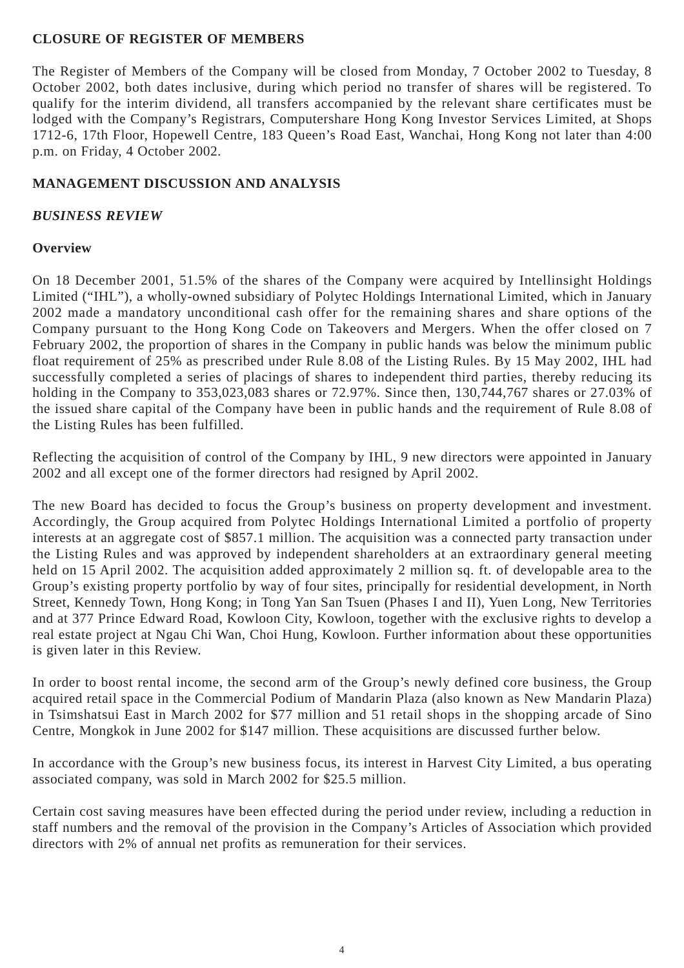#### **CLOSURE OF REGISTER OF MEMBERS**

The Register of Members of the Company will be closed from Monday, 7 October 2002 to Tuesday, 8 October 2002, both dates inclusive, during which period no transfer of shares will be registered. To qualify for the interim dividend, all transfers accompanied by the relevant share certificates must be lodged with the Company's Registrars, Computershare Hong Kong Investor Services Limited, at Shops 1712-6, 17th Floor, Hopewell Centre, 183 Queen's Road East, Wanchai, Hong Kong not later than 4:00 p.m. on Friday, 4 October 2002.

#### **MANAGEMENT DISCUSSION AND ANALYSIS**

#### *BUSINESS REVIEW*

#### **Overview**

On 18 December 2001, 51.5% of the shares of the Company were acquired by Intellinsight Holdings Limited ("IHL"), a wholly-owned subsidiary of Polytec Holdings International Limited, which in January 2002 made a mandatory unconditional cash offer for the remaining shares and share options of the Company pursuant to the Hong Kong Code on Takeovers and Mergers. When the offer closed on 7 February 2002, the proportion of shares in the Company in public hands was below the minimum public float requirement of 25% as prescribed under Rule 8.08 of the Listing Rules. By 15 May 2002, IHL had successfully completed a series of placings of shares to independent third parties, thereby reducing its holding in the Company to 353,023,083 shares or 72.97%. Since then, 130,744,767 shares or 27.03% of the issued share capital of the Company have been in public hands and the requirement of Rule 8.08 of the Listing Rules has been fulfilled.

Reflecting the acquisition of control of the Company by IHL, 9 new directors were appointed in January 2002 and all except one of the former directors had resigned by April 2002.

The new Board has decided to focus the Group's business on property development and investment. Accordingly, the Group acquired from Polytec Holdings International Limited a portfolio of property interests at an aggregate cost of \$857.1 million. The acquisition was a connected party transaction under the Listing Rules and was approved by independent shareholders at an extraordinary general meeting held on 15 April 2002. The acquisition added approximately 2 million sq. ft. of developable area to the Group's existing property portfolio by way of four sites, principally for residential development, in North Street, Kennedy Town, Hong Kong; in Tong Yan San Tsuen (Phases I and II), Yuen Long, New Territories and at 377 Prince Edward Road, Kowloon City, Kowloon, together with the exclusive rights to develop a real estate project at Ngau Chi Wan, Choi Hung, Kowloon. Further information about these opportunities is given later in this Review.

In order to boost rental income, the second arm of the Group's newly defined core business, the Group acquired retail space in the Commercial Podium of Mandarin Plaza (also known as New Mandarin Plaza) in Tsimshatsui East in March 2002 for \$77 million and 51 retail shops in the shopping arcade of Sino Centre, Mongkok in June 2002 for \$147 million. These acquisitions are discussed further below.

In accordance with the Group's new business focus, its interest in Harvest City Limited, a bus operating associated company, was sold in March 2002 for \$25.5 million.

Certain cost saving measures have been effected during the period under review, including a reduction in staff numbers and the removal of the provision in the Company's Articles of Association which provided directors with 2% of annual net profits as remuneration for their services.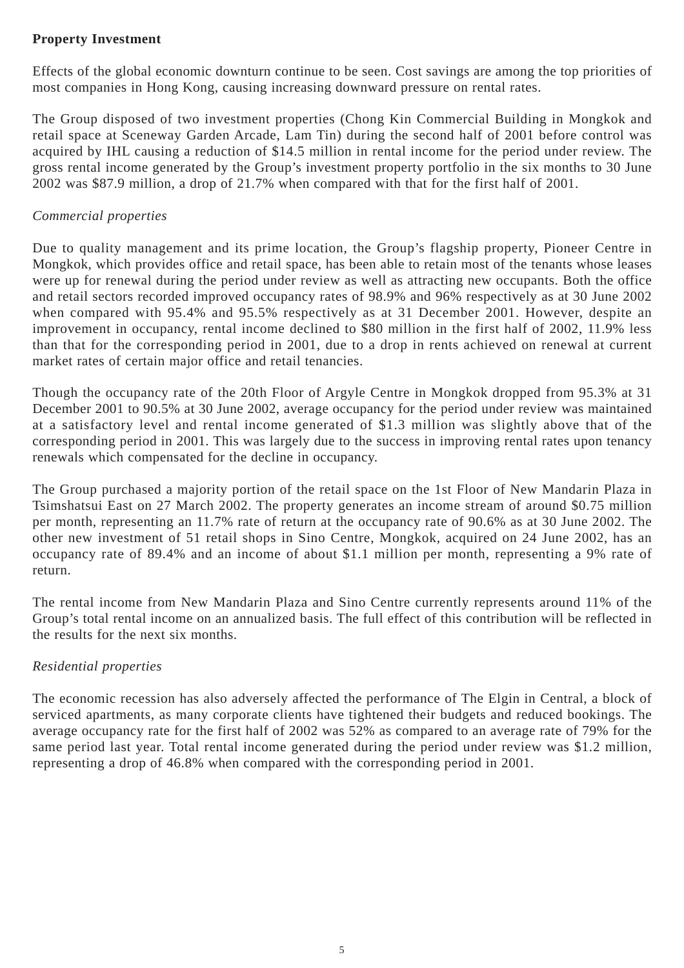## **Property Investment**

Effects of the global economic downturn continue to be seen. Cost savings are among the top priorities of most companies in Hong Kong, causing increasing downward pressure on rental rates.

The Group disposed of two investment properties (Chong Kin Commercial Building in Mongkok and retail space at Sceneway Garden Arcade, Lam Tin) during the second half of 2001 before control was acquired by IHL causing a reduction of \$14.5 million in rental income for the period under review. The gross rental income generated by the Group's investment property portfolio in the six months to 30 June 2002 was \$87.9 million, a drop of 21.7% when compared with that for the first half of 2001.

# *Commercial properties*

Due to quality management and its prime location, the Group's flagship property, Pioneer Centre in Mongkok, which provides office and retail space, has been able to retain most of the tenants whose leases were up for renewal during the period under review as well as attracting new occupants. Both the office and retail sectors recorded improved occupancy rates of 98.9% and 96% respectively as at 30 June 2002 when compared with 95.4% and 95.5% respectively as at 31 December 2001. However, despite an improvement in occupancy, rental income declined to \$80 million in the first half of 2002, 11.9% less than that for the corresponding period in 2001, due to a drop in rents achieved on renewal at current market rates of certain major office and retail tenancies.

Though the occupancy rate of the 20th Floor of Argyle Centre in Mongkok dropped from 95.3% at 31 December 2001 to 90.5% at 30 June 2002, average occupancy for the period under review was maintained at a satisfactory level and rental income generated of \$1.3 million was slightly above that of the corresponding period in 2001. This was largely due to the success in improving rental rates upon tenancy renewals which compensated for the decline in occupancy.

The Group purchased a majority portion of the retail space on the 1st Floor of New Mandarin Plaza in Tsimshatsui East on 27 March 2002. The property generates an income stream of around \$0.75 million per month, representing an 11.7% rate of return at the occupancy rate of 90.6% as at 30 June 2002. The other new investment of 51 retail shops in Sino Centre, Mongkok, acquired on 24 June 2002, has an occupancy rate of 89.4% and an income of about \$1.1 million per month, representing a 9% rate of return.

The rental income from New Mandarin Plaza and Sino Centre currently represents around 11% of the Group's total rental income on an annualized basis. The full effect of this contribution will be reflected in the results for the next six months.

# *Residential properties*

The economic recession has also adversely affected the performance of The Elgin in Central, a block of serviced apartments, as many corporate clients have tightened their budgets and reduced bookings. The average occupancy rate for the first half of 2002 was 52% as compared to an average rate of 79% for the same period last year. Total rental income generated during the period under review was \$1.2 million, representing a drop of 46.8% when compared with the corresponding period in 2001.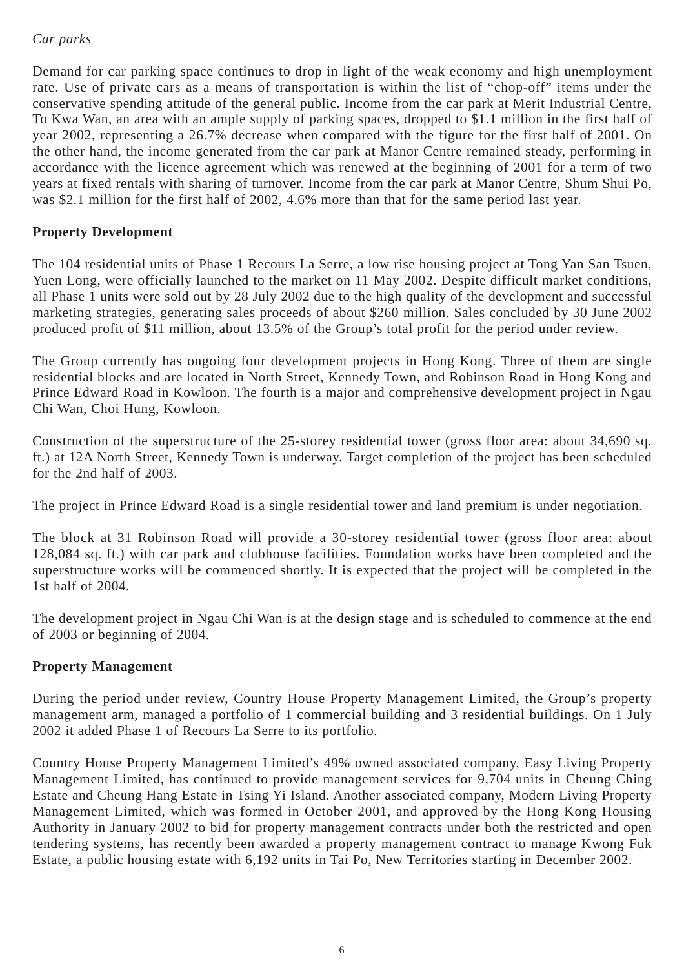# *Car parks*

Demand for car parking space continues to drop in light of the weak economy and high unemployment rate. Use of private cars as a means of transportation is within the list of "chop-off" items under the conservative spending attitude of the general public. Income from the car park at Merit Industrial Centre, To Kwa Wan, an area with an ample supply of parking spaces, dropped to \$1.1 million in the first half of year 2002, representing a 26.7% decrease when compared with the figure for the first half of 2001. On the other hand, the income generated from the car park at Manor Centre remained steady, performing in accordance with the licence agreement which was renewed at the beginning of 2001 for a term of two years at fixed rentals with sharing of turnover. Income from the car park at Manor Centre, Shum Shui Po, was \$2.1 million for the first half of 2002, 4.6% more than that for the same period last year.

## **Property Development**

The 104 residential units of Phase 1 Recours La Serre, a low rise housing project at Tong Yan San Tsuen, Yuen Long, were officially launched to the market on 11 May 2002. Despite difficult market conditions, all Phase 1 units were sold out by 28 July 2002 due to the high quality of the development and successful marketing strategies, generating sales proceeds of about \$260 million. Sales concluded by 30 June 2002 produced profit of \$11 million, about 13.5% of the Group's total profit for the period under review.

The Group currently has ongoing four development projects in Hong Kong. Three of them are single residential blocks and are located in North Street, Kennedy Town, and Robinson Road in Hong Kong and Prince Edward Road in Kowloon. The fourth is a major and comprehensive development project in Ngau Chi Wan, Choi Hung, Kowloon.

Construction of the superstructure of the 25-storey residential tower (gross floor area: about 34,690 sq. ft.) at 12A North Street, Kennedy Town is underway. Target completion of the project has been scheduled for the 2nd half of 2003.

The project in Prince Edward Road is a single residential tower and land premium is under negotiation.

The block at 31 Robinson Road will provide a 30-storey residential tower (gross floor area: about 128,084 sq. ft.) with car park and clubhouse facilities. Foundation works have been completed and the superstructure works will be commenced shortly. It is expected that the project will be completed in the 1st half of 2004.

The development project in Ngau Chi Wan is at the design stage and is scheduled to commence at the end of 2003 or beginning of 2004.

## **Property Management**

During the period under review, Country House Property Management Limited, the Group's property management arm, managed a portfolio of 1 commercial building and 3 residential buildings. On 1 July 2002 it added Phase 1 of Recours La Serre to its portfolio.

Country House Property Management Limited's 49% owned associated company, Easy Living Property Management Limited, has continued to provide management services for 9,704 units in Cheung Ching Estate and Cheung Hang Estate in Tsing Yi Island. Another associated company, Modern Living Property Management Limited, which was formed in October 2001, and approved by the Hong Kong Housing Authority in January 2002 to bid for property management contracts under both the restricted and open tendering systems, has recently been awarded a property management contract to manage Kwong Fuk Estate, a public housing estate with 6,192 units in Tai Po, New Territories starting in December 2002.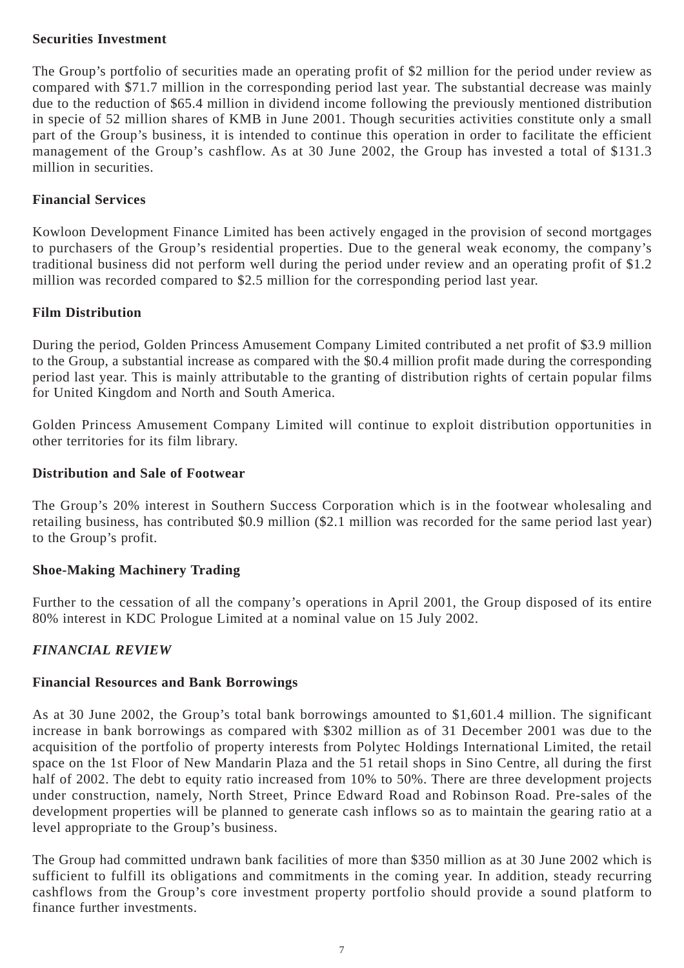#### **Securities Investment**

The Group's portfolio of securities made an operating profit of \$2 million for the period under review as compared with \$71.7 million in the corresponding period last year. The substantial decrease was mainly due to the reduction of \$65.4 million in dividend income following the previously mentioned distribution in specie of 52 million shares of KMB in June 2001. Though securities activities constitute only a small part of the Group's business, it is intended to continue this operation in order to facilitate the efficient management of the Group's cashflow. As at 30 June 2002, the Group has invested a total of \$131.3 million in securities.

## **Financial Services**

Kowloon Development Finance Limited has been actively engaged in the provision of second mortgages to purchasers of the Group's residential properties. Due to the general weak economy, the company's traditional business did not perform well during the period under review and an operating profit of \$1.2 million was recorded compared to \$2.5 million for the corresponding period last year.

# **Film Distribution**

During the period, Golden Princess Amusement Company Limited contributed a net profit of \$3.9 million to the Group, a substantial increase as compared with the \$0.4 million profit made during the corresponding period last year. This is mainly attributable to the granting of distribution rights of certain popular films for United Kingdom and North and South America.

Golden Princess Amusement Company Limited will continue to exploit distribution opportunities in other territories for its film library.

## **Distribution and Sale of Footwear**

The Group's 20% interest in Southern Success Corporation which is in the footwear wholesaling and retailing business, has contributed \$0.9 million (\$2.1 million was recorded for the same period last year) to the Group's profit.

# **Shoe-Making Machinery Trading**

Further to the cessation of all the company's operations in April 2001, the Group disposed of its entire 80% interest in KDC Prologue Limited at a nominal value on 15 July 2002.

## *FINANCIAL REVIEW*

## **Financial Resources and Bank Borrowings**

As at 30 June 2002, the Group's total bank borrowings amounted to \$1,601.4 million. The significant increase in bank borrowings as compared with \$302 million as of 31 December 2001 was due to the acquisition of the portfolio of property interests from Polytec Holdings International Limited, the retail space on the 1st Floor of New Mandarin Plaza and the 51 retail shops in Sino Centre, all during the first half of 2002. The debt to equity ratio increased from 10% to 50%. There are three development projects under construction, namely, North Street, Prince Edward Road and Robinson Road. Pre-sales of the development properties will be planned to generate cash inflows so as to maintain the gearing ratio at a level appropriate to the Group's business.

The Group had committed undrawn bank facilities of more than \$350 million as at 30 June 2002 which is sufficient to fulfill its obligations and commitments in the coming year. In addition, steady recurring cashflows from the Group's core investment property portfolio should provide a sound platform to finance further investments.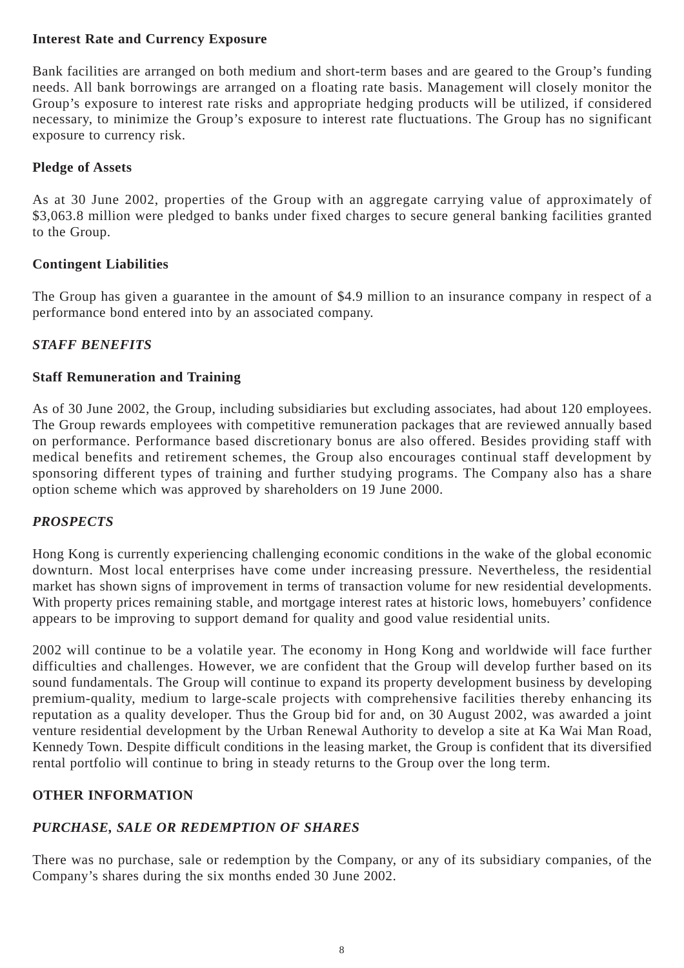## **Interest Rate and Currency Exposure**

Bank facilities are arranged on both medium and short-term bases and are geared to the Group's funding needs. All bank borrowings are arranged on a floating rate basis. Management will closely monitor the Group's exposure to interest rate risks and appropriate hedging products will be utilized, if considered necessary, to minimize the Group's exposure to interest rate fluctuations. The Group has no significant exposure to currency risk.

# **Pledge of Assets**

As at 30 June 2002, properties of the Group with an aggregate carrying value of approximately of \$3,063.8 million were pledged to banks under fixed charges to secure general banking facilities granted to the Group.

# **Contingent Liabilities**

The Group has given a guarantee in the amount of \$4.9 million to an insurance company in respect of a performance bond entered into by an associated company.

# *STAFF BENEFITS*

# **Staff Remuneration and Training**

As of 30 June 2002, the Group, including subsidiaries but excluding associates, had about 120 employees. The Group rewards employees with competitive remuneration packages that are reviewed annually based on performance. Performance based discretionary bonus are also offered. Besides providing staff with medical benefits and retirement schemes, the Group also encourages continual staff development by sponsoring different types of training and further studying programs. The Company also has a share option scheme which was approved by shareholders on 19 June 2000.

# *PROSPECTS*

Hong Kong is currently experiencing challenging economic conditions in the wake of the global economic downturn. Most local enterprises have come under increasing pressure. Nevertheless, the residential market has shown signs of improvement in terms of transaction volume for new residential developments. With property prices remaining stable, and mortgage interest rates at historic lows, homebuyers' confidence appears to be improving to support demand for quality and good value residential units.

2002 will continue to be a volatile year. The economy in Hong Kong and worldwide will face further difficulties and challenges. However, we are confident that the Group will develop further based on its sound fundamentals. The Group will continue to expand its property development business by developing premium-quality, medium to large-scale projects with comprehensive facilities thereby enhancing its reputation as a quality developer. Thus the Group bid for and, on 30 August 2002, was awarded a joint venture residential development by the Urban Renewal Authority to develop a site at Ka Wai Man Road, Kennedy Town. Despite difficult conditions in the leasing market, the Group is confident that its diversified rental portfolio will continue to bring in steady returns to the Group over the long term.

# **OTHER INFORMATION**

# *PURCHASE, SALE OR REDEMPTION OF SHARES*

There was no purchase, sale or redemption by the Company, or any of its subsidiary companies, of the Company's shares during the six months ended 30 June 2002.